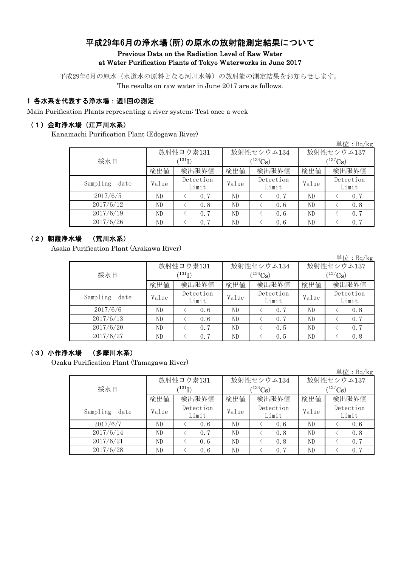# 平成29年6月の浄水場(所)の原水の放射能測定結果について

#### Previous Data on the Radiation Level of Raw Water at Water Purification Plants of Tokyo Waterworks in June 2017

平成29年6月の原水(水道水の原料となる河川水等)の放射能の測定結果をお知らせします。 The results on raw water in June 2017 are as follows.

## 1 各水系を代表する浄水場:週1回の測定

Main Purification Plants representing a river system: Test once a week

#### (1)金町浄水場(江戸川水系)

Kanamachi Purification Plant (Edogawa River)

|                  |       |                            |       |                    |             | 単位: $Bq/kg$        |  |
|------------------|-------|----------------------------|-------|--------------------|-------------|--------------------|--|
|                  |       | 放射性ヨウ素131                  |       | 放射性セシウム134         | 放射性セシウム137  |                    |  |
| 採水日              |       | $^{\prime131} \mathrm{I})$ |       | $134C_{\rm S}$     | $(137)$ Cs) |                    |  |
|                  | 検出値   | 検出限界値                      | 検出値   | 検出限界値              | 検出値         | 検出限界値              |  |
| Sampling<br>date | Value | Detection<br>Limit         | Value | Detection<br>Limit | Value       | Detection<br>Limit |  |
| 2017/6/5         | ND    | 0.7                        | ND    | 0.7                | ND          | 0.7                |  |
| 2017/6/12        | ND    | 0.8                        | ND    | 0.6                | ND          | 0.8                |  |
| 2017/6/19        | ND    | 0.7                        | ND    | 0.6                | ND          | 0.7                |  |
| 2017/6/26        | ND    | 0.7                        | ND    | 0.6                | ND          | 0.7                |  |

#### (2)朝霞浄水場 (荒川水系)

Asaka Purification Plant (Arakawa River)

|                  |       |                    |       |                    |              | 単位 : Bq/kg         |  |
|------------------|-------|--------------------|-------|--------------------|--------------|--------------------|--|
|                  |       | 放射性ヨウ素131          |       | 放射性セシウム134         | 放射性セシウム137   |                    |  |
| 採水日              |       | $^{131}$ I)        |       | $134C_8$           | $(^{137}Cs)$ |                    |  |
|                  | 検出値   | 検出限界値              | 検出値   | 検出限界値              | 検出値          | 検出限界値              |  |
| Sampling<br>date | Value | Detection<br>Limit | Value | Detection<br>Limit | Value        | Detection<br>Limit |  |
| 2017/6/6         | ND    | 0.6                | ND    | 0.7                | ND           | 0.8                |  |
| 2017/6/13        | ND    | 0.6                | ND    | 0.7                | ND           | 0.7                |  |
| 2017/6/20        | ND    | 0.7                | ND    | 0.5                | ND           | 0.7                |  |
| 2017/6/27        | ND    | 0.7                | ND    | 0.5                | ND           | 0.8                |  |

### (3)小作浄水場 (多摩川水系)

Ozaku Purification Plant (Tamagawa River)

|                  |                                                                                                                                                                                                                                                                        |       |            |  |             | 単位: $Bq/kg$        |  |  |
|------------------|------------------------------------------------------------------------------------------------------------------------------------------------------------------------------------------------------------------------------------------------------------------------|-------|------------|--|-------------|--------------------|--|--|
|                  |                                                                                                                                                                                                                                                                        |       |            |  |             | 放射性セシウム137         |  |  |
| 採水日              | $^{\prime 131} \mathrm{I})$                                                                                                                                                                                                                                            |       | $(134)$ Cs |  | $(137)$ Cs) |                    |  |  |
|                  | 放射性ヨウ素131<br>放射性セシウム134<br>検出限界値<br>検出限界値<br>検出値<br>検出値<br>検出値<br>Detection<br>Detection<br>Value<br>Value<br>Value<br>Limit<br>Limit<br>ND<br>ND<br>ND<br>0.6<br>0.6<br>ND<br>ND<br>ND.<br>0.7<br>0.8<br>ND<br>ND<br>ND<br>0.6<br>0.8<br>ND<br>ND<br>ND<br>0.7<br>0.6 | 検出限界値 |            |  |             |                    |  |  |
| Sampling<br>date |                                                                                                                                                                                                                                                                        |       |            |  |             | Detection<br>Limit |  |  |
| 2017/6/7         |                                                                                                                                                                                                                                                                        |       |            |  |             | 0, 6               |  |  |
| 2017/6/14        |                                                                                                                                                                                                                                                                        |       |            |  |             | 0.8                |  |  |
| 2017/6/21        |                                                                                                                                                                                                                                                                        |       |            |  |             | 0.7                |  |  |
| 2017/6/28        |                                                                                                                                                                                                                                                                        |       |            |  |             | 0.7                |  |  |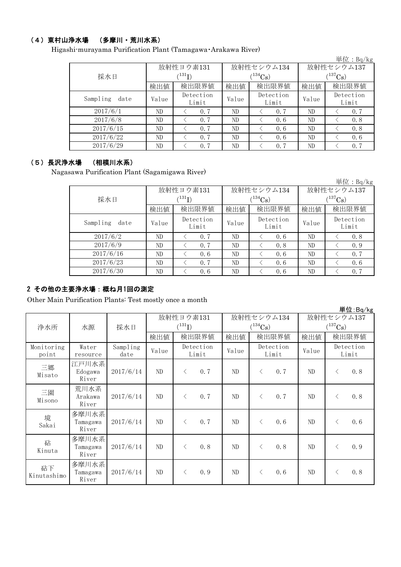# (4)東村山浄水場 (多摩川・荒川水系)

Higashi-murayama Purification Plant (Tamagawa・Arakawa River)

|                  |                                                                                                                                                                                                           |                          |       |             |              | 単位: $Bq/kg$        |  |
|------------------|-----------------------------------------------------------------------------------------------------------------------------------------------------------------------------------------------------------|--------------------------|-------|-------------|--------------|--------------------|--|
|                  |                                                                                                                                                                                                           | 放射性ヨウ素131                |       |             | 放射性セシウム137   |                    |  |
| 採水日              |                                                                                                                                                                                                           | $^{\prime\,131}{\rm I})$ |       | $(134)$ Cs) | $(^{137}Cs)$ |                    |  |
|                  | 放射性セシウム134<br>検出限界値<br>検出値<br>検出限界値<br>検出値<br>Detection<br>Detection<br>Value<br>Value<br>Limit<br>Limit<br>ND<br>0.7<br>0.7<br>ND<br>ND<br>ND<br>ND<br>ND<br>0.7<br>0.6<br>ND<br>ND<br>0.7<br>ND<br>0, 6 | 検出値                      | 検出限界値 |             |              |                    |  |
| Sampling<br>date |                                                                                                                                                                                                           |                          |       |             | Value        | Detection<br>Limit |  |
| 2017/6/1         |                                                                                                                                                                                                           |                          |       |             |              | 0.7                |  |
| 2017/6/8         |                                                                                                                                                                                                           |                          |       |             |              | 0.8                |  |
| 2017/6/15        |                                                                                                                                                                                                           |                          |       |             |              | 0.8                |  |
| 2017/6/22        | ND                                                                                                                                                                                                        | 0.7                      | ND    | 0.6         | ND           | 0, 6               |  |
| 2017/6/29        | ND                                                                                                                                                                                                        | 0.7                      | ND    | 0.7         | ND           | 0.7                |  |

# (5)長沢浄水場 (相模川水系)

Nagasawa Purification Plant (Sagamigawa River)

|                  |       |                      |       |                    |              | 単位: $Bq/kg$        |  |
|------------------|-------|----------------------|-------|--------------------|--------------|--------------------|--|
|                  |       | 放射性ヨウ素131            |       | 放射性セシウム134         | 放射性セシウム137   |                    |  |
| 採水日              |       | $(^{131}\mathrm{I})$ |       | $(134)$ Cs         | $(^{137}Cs)$ |                    |  |
|                  | 検出値   | 検出限界値                | 検出値   | 検出限界値              | 検出値          | 検出限界値              |  |
| Sampling<br>date | Value | Detection<br>Limit   | Value | Detection<br>Limit | Value        | Detection<br>Limit |  |
| 2017/6/2         | ND    | 0.7                  | ND    | 0.6                | ND           | 0.8                |  |
| 2017/6/9         | ND    | 0.7                  | ND    | 0.8                | ND           | 0.9                |  |
| 2017/6/16        | ND    | 0.6                  | ND    | 0.6                | ND           | 0.7                |  |
| 2017/6/23        | ND    | 0.7                  | ND    | 0.6                | ND           | 0.6                |  |
| 2017/6/30        | ND    | 0.6                  | ND    | 0.6                | ND           | 0.7                |  |

# 2 その他の主要浄水場:概ね月1回の測定

Other Main Purification Plants: Test mostly once a month

|                     |                            |                  |                          |           |                            |       |           |                            |       |           | 単位:Bq/kg           |
|---------------------|----------------------------|------------------|--------------------------|-----------|----------------------------|-------|-----------|----------------------------|-------|-----------|--------------------|
| 浄水所                 | 水源                         | 採水日              | 放射性ヨウ素131<br>$(^{131}I)$ |           | 放射性セシウム134<br>$(^{134}Cs)$ |       |           | 放射性セシウム137<br>$(^{137}Cs)$ |       |           |                    |
|                     |                            |                  | 検出値                      |           | 検出限界値                      | 検出値   |           | 検出限界値                      | 検出値   |           | 検出限界値              |
| Monitoring<br>point | Water<br>resource          | Sampling<br>date | Value                    |           | Detection<br>Limit         | Value |           | Detection<br>Limit         | Value |           | Detection<br>Limit |
| 三郷<br>Misato        | 江戸川水系<br>Edogawa<br>River  | 2017/6/14        | ND                       | $\lt$     | 0.7                        | ND    | $\langle$ | 0.7                        | ND    | $\langle$ | 0.8                |
| 三園<br>Misono        | 荒川水系<br>Arakawa<br>River   | 2017/6/14        | ND                       | $\langle$ | 0.7                        | ND    | $\langle$ | 0.7                        | ND    | $\langle$ | 0.8                |
| 境<br>Sakai          | 多摩川水系<br>Tamagawa<br>River | 2017/6/14        | ND                       | $\lt$     | 0.7                        | ND    | $\langle$ | 0.6                        | ND.   | $\lt$     | 0.6                |
| 砧<br>Kinuta         | 多摩川水系<br>Tamagawa<br>River | 2017/6/14        | ND                       | $\langle$ | 0.8                        | ND    | $\lt$     | 0.8                        | ND    | $\langle$ | 0.9                |
| 砧下<br>Kinutashimo   | 多摩川水系<br>Tamagawa<br>River | 2017/6/14        | ND                       | $\langle$ | 0.9                        | ND    | $\lt$     | 0, 6                       | ND    | $\lt$     | 0.8                |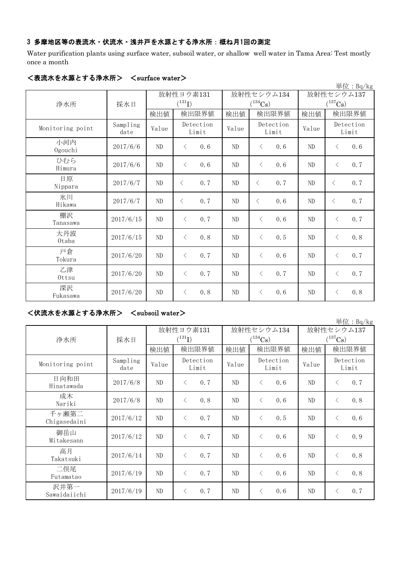# 3 多摩地区等の表流水・伏流水・浅井戸を水源とする浄水所:概ね月1回の測定

Water purification plants using surface water, subsoil water, or shallow well water in Tama Area: Test mostly once a month

|                  |                  |                |                    |          |                       |          | 単位: Bq/kg             |  |
|------------------|------------------|----------------|--------------------|----------|-----------------------|----------|-----------------------|--|
|                  |                  |                | 放射性ヨウ素131          |          | 放射性セシウム134            |          | 放射性セシウム137            |  |
| 浄水所              | 採水日              |                | $(^{131}I)$        |          | $(^{134}\mathrm{Cs})$ |          | $(^{137}\mathrm{Cs})$ |  |
|                  |                  | 検出値            | 検出限界値              | 検出値      | 検出限界値                 | 検出値      | 検出限界値                 |  |
| Monitoring point | Sampling<br>date | Value          | Detection<br>Limit | Value    | Detection<br>Limit    | Value    | Detection<br>Limit    |  |
| 小河内<br>Ogouchi   | 2017/6/6         | ND             | 0.6<br>$\langle$   | ND       | $\lt$<br>0.6          | $\rm ND$ | 0.6<br>$\langle$      |  |
| ひむら<br>Himura    | 2017/6/6         | ND             | 0.6<br>$\langle$   | ND       | $\lt$<br>0.6          | ND       | 0.7<br>$\langle$      |  |
| 日原<br>Nippara    | 2017/6/7         | ND             | 0.7<br>$\langle$   | ND       | 0.7<br>$\langle$      | $\rm ND$ | 0.7<br>$\langle$      |  |
| 氷川<br>Hikawa     | 2017/6/7         | ND             | 0.7<br>$\langle$   | ND       | 0.6<br>$\lt$          | $\rm ND$ | 0.7<br>$\lt$          |  |
| 棚沢<br>Tanasawa   | 2017/6/15        | N <sub>D</sub> | 0.7<br>$\langle$   | ND       | $\langle$<br>0, 6     | ND       | 0.7<br>$\langle$      |  |
| 大丹波<br>0taba     | 2017/6/15        | ND             | 0.8<br>$\langle$   | $\rm ND$ | $\langle$<br>0.5      | $\rm ND$ | 0.8<br>$\langle$      |  |
| 戸倉<br>Tokura     | 2017/6/20        | $\rm ND$       | 0.7<br>$\lt$       | ND       | 0.6<br>$\langle$      | $\rm ND$ | 0.7<br>$\langle$      |  |
| 乙津<br>Ottsu      | 2017/6/20        | ND             | 0.7<br>$\lt$       | ND       | 0.7<br>$\lt$          | ND       | 0.7<br>$\lt$          |  |
| 深沢<br>Fukasawa   | 2017/6/20        | ND             | 0.8<br>$\lt$       | ND       | 0.6<br>$\lt$          | ND       | 0.8<br>$\langle$      |  |

#### <表流水を水源とする浄水所> <surface water>

### <伏流水を水源とする浄水所> <subsoil water>

単位:Bq/kg

| 浄水所                   | 採水日              | 放射性ヨウ素131<br>$(^{131}I)$ |                    |       | 放射性セシウム134<br>$(^{134}\mathrm{Cs})$ | 放射性セシウム137<br>$(^{137}Cs)$ |                    |  |
|-----------------------|------------------|--------------------------|--------------------|-------|-------------------------------------|----------------------------|--------------------|--|
|                       |                  | 検出値                      | 検出限界値              | 検出値   | 検出限界値                               | 検出値                        | 検出限界値              |  |
| Monitoring point      | Sampling<br>date | Value                    | Detection<br>Limit | Value | Detection<br>Limit                  | Value                      | Detection<br>Limit |  |
| 日向和田<br>Hinatawada    | 2017/6/8         | ND                       | 0.7<br>$\langle$   | ND    | 0.6<br>$\langle$                    | ND                         | 0.7<br>$\lt$       |  |
| 成木<br>Nariki          | 2017/6/8         | ND                       | 0.8<br>$\langle$   | ND    | 0.6<br>$\langle$                    | ND                         | 0.8<br>$\langle$   |  |
| 千ヶ瀬第二<br>Chigasedaini | 2017/6/12        | ND                       | 0.7<br>$\lt$       | ND    | 0.5<br>$\langle$                    | ND                         | 0.6<br>⟨           |  |
| 御岳山<br>Mitakesann     | 2017/6/12        | ND                       | 0.7<br>$\lt$       | ND.   | 0.6<br>$\langle$                    | ND                         | 0.9<br>$\lt$       |  |
| 高月<br>Takatsuki       | 2017/6/14        | ND                       | 0.7<br>$\langle$   | ND    | 0.6<br>$\langle$                    | ND                         | 0.8<br>$\lt$       |  |
| 二俣尾<br>Futamatao      | 2017/6/19        | ND                       | 0.7<br>$\langle$   | ND    | 0.6<br>$\langle$                    | ND                         | 0.8<br>$\langle$   |  |
| 沢井第一<br>Sawaidaiichi  | 2017/6/19        | ND                       | 0.7<br>$\langle$   | ND    | 0.6<br>$\langle$                    | ND                         | 0.7<br>$\lt$       |  |